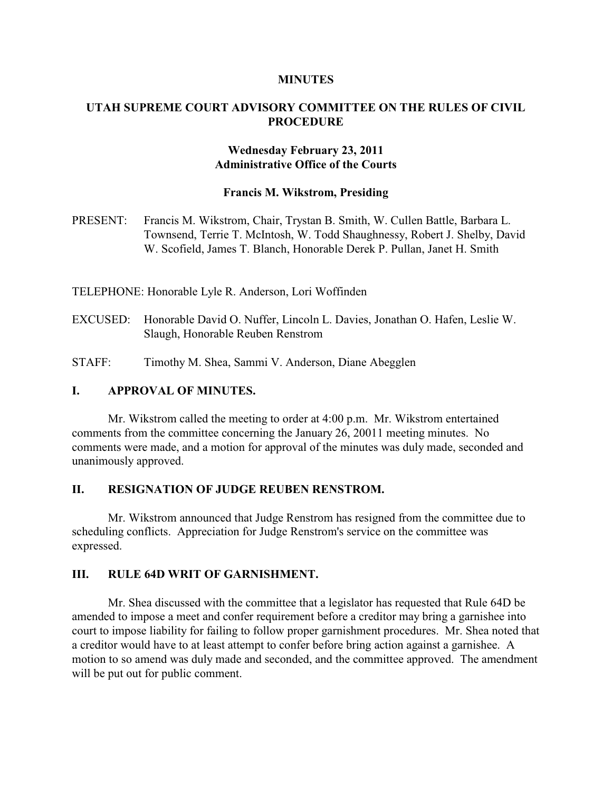#### **MINUTES**

# **UTAH SUPREME COURT ADVISORY COMMITTEE ON THE RULES OF CIVIL PROCEDURE**

# **Wednesday February 23, 2011 Administrative Office of the Courts**

#### **Francis M. Wikstrom, Presiding**

PRESENT: Francis M. Wikstrom, Chair, Trystan B. Smith, W. Cullen Battle, Barbara L. Townsend, Terrie T. McIntosh, W. Todd Shaughnessy, Robert J. Shelby, David W. Scofield, James T. Blanch, Honorable Derek P. Pullan, Janet H. Smith

TELEPHONE: Honorable Lyle R. Anderson, Lori Woffinden

EXCUSED: Honorable David O. Nuffer, Lincoln L. Davies, Jonathan O. Hafen, Leslie W. Slaugh, Honorable Reuben Renstrom

STAFF: Timothy M. Shea, Sammi V. Anderson, Diane Abegglen

# **I. APPROVAL OF MINUTES.**

Mr. Wikstrom called the meeting to order at 4:00 p.m. Mr. Wikstrom entertained comments from the committee concerning the January 26, 20011 meeting minutes. No comments were made, and a motion for approval of the minutes was duly made, seconded and unanimously approved.

## **II. RESIGNATION OF JUDGE REUBEN RENSTROM.**

Mr. Wikstrom announced that Judge Renstrom has resigned from the committee due to scheduling conflicts. Appreciation for Judge Renstrom's service on the committee was expressed.

## **III. RULE 64D WRIT OF GARNISHMENT.**

Mr. Shea discussed with the committee that a legislator has requested that Rule 64D be amended to impose a meet and confer requirement before a creditor may bring a garnishee into court to impose liability for failing to follow proper garnishment procedures. Mr. Shea noted that a creditor would have to at least attempt to confer before bring action against a garnishee. A motion to so amend was duly made and seconded, and the committee approved. The amendment will be put out for public comment.